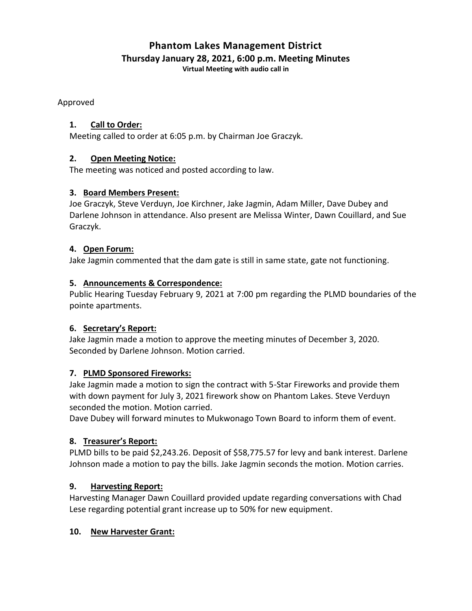# **Phantom Lakes Management District Thursday January 28, 2021, 6:00 p.m. Meeting Minutes**

**Virtual Meeting with audio call in**

Approved

#### **1. Call to Order:**

Meeting called to order at 6:05 p.m. by Chairman Joe Graczyk.

## **2. Open Meeting Notice:**

The meeting was noticed and posted according to law.

## **3. Board Members Present:**

Joe Graczyk, Steve Verduyn, Joe Kirchner, Jake Jagmin, Adam Miller, Dave Dubey and Darlene Johnson in attendance. Also present are Melissa Winter, Dawn Couillard, and Sue Graczyk.

#### **4. Open Forum:**

Jake Jagmin commented that the dam gate is still in same state, gate not functioning.

## **5. Announcements & Correspondence:**

Public Hearing Tuesday February 9, 2021 at 7:00 pm regarding the PLMD boundaries of the pointe apartments.

#### **6. Secretary's Report:**

Jake Jagmin made a motion to approve the meeting minutes of December 3, 2020. Seconded by Darlene Johnson. Motion carried.

# **7. PLMD Sponsored Fireworks:**

Jake Jagmin made a motion to sign the contract with 5-Star Fireworks and provide them with down payment for July 3, 2021 firework show on Phantom Lakes. Steve Verduyn seconded the motion. Motion carried.

Dave Dubey will forward minutes to Mukwonago Town Board to inform them of event.

# **8. Treasurer's Report:**

PLMD bills to be paid \$2,243.26. Deposit of \$58,775.57 for levy and bank interest. Darlene Johnson made a motion to pay the bills. Jake Jagmin seconds the motion. Motion carries.

# **9. Harvesting Report:**

Harvesting Manager Dawn Couillard provided update regarding conversations with Chad Lese regarding potential grant increase up to 50% for new equipment.

#### **10. New Harvester Grant:**